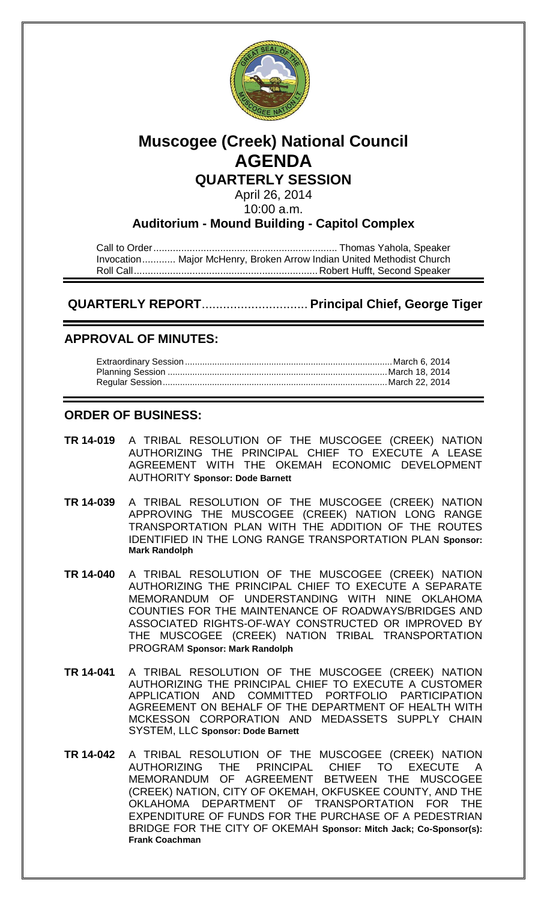

# **Muscogee (Creek) National Council AGENDA**

## **QUARTERLY SESSION**

April 26, 2014 10:00 a.m.

#### **Auditorium - Mound Building - Capitol Complex**

Call to Order.................................................................. Thomas Yahola, Speaker Invocation............ Major McHenry, Broken Arrow Indian United Methodist Church Roll Call.................................................................. Robert Hufft, Second Speaker

# **QUARTERLY REPORT**.............................. **Principal Chief, George Tiger**

### **APPROVAL OF MINUTES:**

#### **ORDER OF BUSINESS:**

- **TR 14-019** A TRIBAL RESOLUTION OF THE MUSCOGEE (CREEK) NATION AUTHORIZING THE PRINCIPAL CHIEF TO EXECUTE A LEASE AGREEMENT WITH THE OKEMAH ECONOMIC DEVELOPMENT AUTHORITY **Sponsor: Dode Barnett**
- **TR 14-039** A TRIBAL RESOLUTION OF THE MUSCOGEE (CREEK) NATION APPROVING THE MUSCOGEE (CREEK) NATION LONG RANGE TRANSPORTATION PLAN WITH THE ADDITION OF THE ROUTES IDENTIFIED IN THE LONG RANGE TRANSPORTATION PLAN **Sponsor: Mark Randolph**
- **TR 14-040** A TRIBAL RESOLUTION OF THE MUSCOGEE (CREEK) NATION AUTHORIZING THE PRINCIPAL CHIEF TO EXECUTE A SEPARATE MEMORANDUM OF UNDERSTANDING WITH NINE OKLAHOMA COUNTIES FOR THE MAINTENANCE OF ROADWAYS/BRIDGES AND ASSOCIATED RIGHTS-OF-WAY CONSTRUCTED OR IMPROVED BY THE MUSCOGEE (CREEK) NATION TRIBAL TRANSPORTATION PROGRAM **Sponsor: Mark Randolph**
- **TR 14-041** A TRIBAL RESOLUTION OF THE MUSCOGEE (CREEK) NATION AUTHORIZING THE PRINCIPAL CHIEF TO EXECUTE A CUSTOMER APPLICATION AND COMMITTED PORTFOLIO PARTICIPATION AGREEMENT ON BEHALF OF THE DEPARTMENT OF HEALTH WITH MCKESSON CORPORATION AND MEDASSETS SUPPLY CHAIN SYSTEM, LLC **Sponsor: Dode Barnett**
- **TR 14-042** A TRIBAL RESOLUTION OF THE MUSCOGEE (CREEK) NATION AUTHORIZING THE PRINCIPAL CHIEF TO EXECUTE A MEMORANDUM OF AGREEMENT BETWEEN THE MUSCOGEE (CREEK) NATION, CITY OF OKEMAH, OKFUSKEE COUNTY, AND THE OKLAHOMA DEPARTMENT OF TRANSPORTATION FOR THE EXPENDITURE OF FUNDS FOR THE PURCHASE OF A PEDESTRIAN BRIDGE FOR THE CITY OF OKEMAH **Sponsor: Mitch Jack; Co-Sponsor(s): Frank Coachman**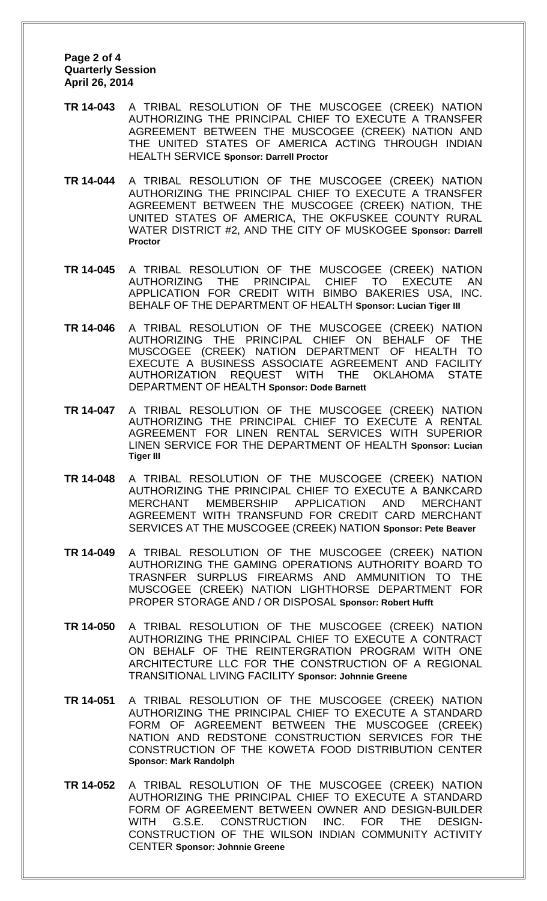#### **Page 2 of 4 Quarterly Session April 26, 2014**

- **TR 14-043** A TRIBAL RESOLUTION OF THE MUSCOGEE (CREEK) NATION AUTHORIZING THE PRINCIPAL CHIEF TO EXECUTE A TRANSFER AGREEMENT BETWEEN THE MUSCOGEE (CREEK) NATION AND THE UNITED STATES OF AMERICA ACTING THROUGH INDIAN HEALTH SERVICE **Sponsor: Darrell Proctor**
- **TR 14-044** A TRIBAL RESOLUTION OF THE MUSCOGEE (CREEK) NATION AUTHORIZING THE PRINCIPAL CHIEF TO EXECUTE A TRANSFER AGREEMENT BETWEEN THE MUSCOGEE (CREEK) NATION, THE UNITED STATES OF AMERICA, THE OKFUSKEE COUNTY RURAL WATER DISTRICT #2, AND THE CITY OF MUSKOGEE **Sponsor: Darrell Proctor**
- **TR 14-045** A TRIBAL RESOLUTION OF THE MUSCOGEE (CREEK) NATION AUTHORIZING THE PRINCIPAL CHIEF TO EXECUTE AN APPLICATION FOR CREDIT WITH BIMBO BAKERIES USA, INC. BEHALF OF THE DEPARTMENT OF HEALTH **Sponsor: Lucian Tiger III**
- **TR 14-046** A TRIBAL RESOLUTION OF THE MUSCOGEE (CREEK) NATION AUTHORIZING THE PRINCIPAL CHIEF ON BEHALF OF THE MUSCOGEE (CREEK) NATION DEPARTMENT OF HEALTH TO EXECUTE A BUSINESS ASSOCIATE AGREEMENT AND FACILITY AUTHORIZATION REQUEST WITH THE OKLAHOMA STATE DEPARTMENT OF HEALTH **Sponsor: Dode Barnett**
- **TR 14-047** A TRIBAL RESOLUTION OF THE MUSCOGEE (CREEK) NATION AUTHORIZING THE PRINCIPAL CHIEF TO EXECUTE A RENTAL AGREEMENT FOR LINEN RENTAL SERVICES WITH SUPERIOR LINEN SERVICE FOR THE DEPARTMENT OF HEALTH **Sponsor: Lucian Tiger III**
- **TR 14-048** A TRIBAL RESOLUTION OF THE MUSCOGEE (CREEK) NATION AUTHORIZING THE PRINCIPAL CHIEF TO EXECUTE A BANKCARD MERCHANT MEMBERSHIP APPLICATION AND MERCHANT AGREEMENT WITH TRANSFUND FOR CREDIT CARD MERCHANT SERVICES AT THE MUSCOGEE (CREEK) NATION **Sponsor: Pete Beaver**
- **TR 14-049** A TRIBAL RESOLUTION OF THE MUSCOGEE (CREEK) NATION AUTHORIZING THE GAMING OPERATIONS AUTHORITY BOARD TO TRASNFER SURPLUS FIREARMS AND AMMUNITION TO THE MUSCOGEE (CREEK) NATION LIGHTHORSE DEPARTMENT FOR PROPER STORAGE AND / OR DISPOSAL **Sponsor: Robert Hufft**
- **TR 14-050** A TRIBAL RESOLUTION OF THE MUSCOGEE (CREEK) NATION AUTHORIZING THE PRINCIPAL CHIEF TO EXECUTE A CONTRACT ON BEHALF OF THE REINTERGRATION PROGRAM WITH ONE ARCHITECTURE LLC FOR THE CONSTRUCTION OF A REGIONAL TRANSITIONAL LIVING FACILITY **Sponsor: Johnnie Greene**
- **TR 14-051** A TRIBAL RESOLUTION OF THE MUSCOGEE (CREEK) NATION AUTHORIZING THE PRINCIPAL CHIEF TO EXECUTE A STANDARD FORM OF AGREEMENT BETWEEN THE MUSCOGEE (CREEK) NATION AND REDSTONE CONSTRUCTION SERVICES FOR THE CONSTRUCTION OF THE KOWETA FOOD DISTRIBUTION CENTER **Sponsor: Mark Randolph**
- **TR 14-052** A TRIBAL RESOLUTION OF THE MUSCOGEE (CREEK) NATION AUTHORIZING THE PRINCIPAL CHIEF TO EXECUTE A STANDARD FORM OF AGREEMENT BETWEEN OWNER AND DESIGN-BUILDER WITH G.S.E. CONSTRUCTION INC. FOR THE DESIGN-CONSTRUCTION OF THE WILSON INDIAN COMMUNITY ACTIVITY CENTER **Sponsor: Johnnie Greene**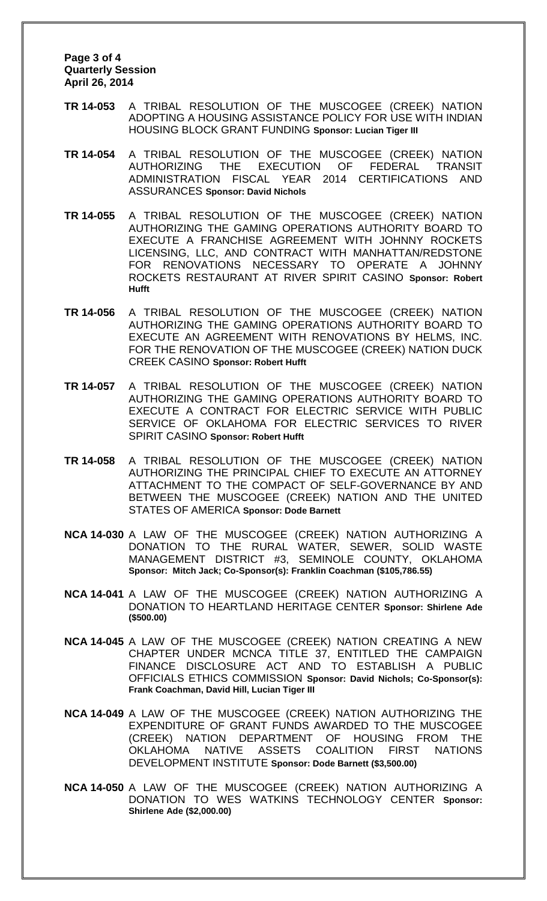**Page 3 of 4 Quarterly Session April 26, 2014**

- **TR 14-053** A TRIBAL RESOLUTION OF THE MUSCOGEE (CREEK) NATION ADOPTING A HOUSING ASSISTANCE POLICY FOR USE WITH INDIAN HOUSING BLOCK GRANT FUNDING **Sponsor: Lucian Tiger III**
- **TR 14-054** A TRIBAL RESOLUTION OF THE MUSCOGEE (CREEK) NATION AUTHORIZING THE EXECUTION OF FEDERAL TRANSIT ADMINISTRATION FISCAL YEAR 2014 CERTIFICATIONS AND ASSURANCES **Sponsor: David Nichols**
- **TR 14-055** A TRIBAL RESOLUTION OF THE MUSCOGEE (CREEK) NATION AUTHORIZING THE GAMING OPERATIONS AUTHORITY BOARD TO EXECUTE A FRANCHISE AGREEMENT WITH JOHNNY ROCKETS LICENSING, LLC, AND CONTRACT WITH MANHATTAN/REDSTONE FOR RENOVATIONS NECESSARY TO OPERATE A JOHNNY ROCKETS RESTAURANT AT RIVER SPIRIT CASINO **Sponsor: Robert Hufft**
- **TR 14-056** A TRIBAL RESOLUTION OF THE MUSCOGEE (CREEK) NATION AUTHORIZING THE GAMING OPERATIONS AUTHORITY BOARD TO EXECUTE AN AGREEMENT WITH RENOVATIONS BY HELMS, INC. FOR THE RENOVATION OF THE MUSCOGEE (CREEK) NATION DUCK CREEK CASINO **Sponsor: Robert Hufft**
- **TR 14-057** A TRIBAL RESOLUTION OF THE MUSCOGEE (CREEK) NATION AUTHORIZING THE GAMING OPERATIONS AUTHORITY BOARD TO EXECUTE A CONTRACT FOR ELECTRIC SERVICE WITH PUBLIC SERVICE OF OKLAHOMA FOR ELECTRIC SERVICES TO RIVER SPIRIT CASINO **Sponsor: Robert Hufft**
- **TR 14-058** A TRIBAL RESOLUTION OF THE MUSCOGEE (CREEK) NATION AUTHORIZING THE PRINCIPAL CHIEF TO EXECUTE AN ATTORNEY ATTACHMENT TO THE COMPACT OF SELF-GOVERNANCE BY AND BETWEEN THE MUSCOGEE (CREEK) NATION AND THE UNITED STATES OF AMERICA **Sponsor: Dode Barnett**
- **NCA 14-030** A LAW OF THE MUSCOGEE (CREEK) NATION AUTHORIZING A DONATION TO THE RURAL WATER, SEWER, SOLID WASTE MANAGEMENT DISTRICT #3, SEMINOLE COUNTY, OKLAHOMA **Sponsor: Mitch Jack; Co-Sponsor(s): Franklin Coachman (\$105,786.55)**
- **NCA 14-041** A LAW OF THE MUSCOGEE (CREEK) NATION AUTHORIZING A DONATION TO HEARTLAND HERITAGE CENTER **Sponsor: Shirlene Ade (\$500.00)**
- **NCA 14-045** A LAW OF THE MUSCOGEE (CREEK) NATION CREATING A NEW CHAPTER UNDER MCNCA TITLE 37, ENTITLED THE CAMPAIGN FINANCE DISCLOSURE ACT AND TO ESTABLISH A PUBLIC OFFICIALS ETHICS COMMISSION **Sponsor: David Nichols; Co-Sponsor(s): Frank Coachman, David Hill, Lucian Tiger III**
- **NCA 14-049** A LAW OF THE MUSCOGEE (CREEK) NATION AUTHORIZING THE EXPENDITURE OF GRANT FUNDS AWARDED TO THE MUSCOGEE (CREEK) NATION DEPARTMENT OF HOUSING FROM THE OKLAHOMA NATIVE ASSETS COALITION FIRST NATIONS DEVELOPMENT INSTITUTE **Sponsor: Dode Barnett (\$3,500.00)**
- **NCA 14-050** A LAW OF THE MUSCOGEE (CREEK) NATION AUTHORIZING A DONATION TO WES WATKINS TECHNOLOGY CENTER **Sponsor: Shirlene Ade (\$2,000.00)**